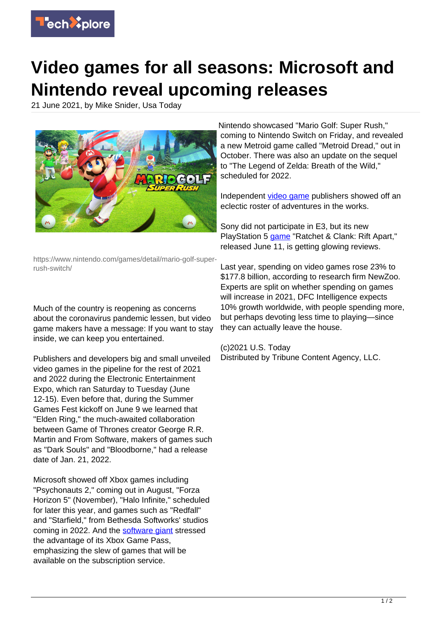

## **Video games for all seasons: Microsoft and Nintendo reveal upcoming releases**

21 June 2021, by Mike Snider, Usa Today



https://www.nintendo.com/games/detail/mario-golf-superrush-switch/

Much of the country is reopening as concerns about the coronavirus pandemic lessen, but video game makers have a message: If you want to stay inside, we can keep you entertained.

Publishers and developers big and small unveiled video games in the pipeline for the rest of 2021 and 2022 during the Electronic Entertainment Expo, which ran Saturday to Tuesday (June 12-15). Even before that, during the Summer Games Fest kickoff on June 9 we learned that "Elden Ring," the much-awaited collaboration between Game of Thrones creator George R.R. Martin and From Software, makers of games such as "Dark Souls" and "Bloodborne," had a release date of Jan. 21, 2022.

Microsoft showed off Xbox games including "Psychonauts 2," coming out in August, "Forza Horizon 5" (November), "Halo Infinite," scheduled for later this year, and games such as "Redfall" and "Starfield," from Bethesda Softworks' studios coming in 2022. And the [software giant](https://techxplore.com/tags/software+giant/) stressed the advantage of its Xbox Game Pass, emphasizing the slew of games that will be available on the subscription service.

Nintendo showcased "Mario Golf: Super Rush," coming to Nintendo Switch on Friday, and revealed a new Metroid game called "Metroid Dread," out in October. There was also an update on the sequel to "The Legend of Zelda: Breath of the Wild," scheduled for 2022.

Independent [video game](https://techxplore.com/tags/video+game/) publishers showed off an eclectic roster of adventures in the works.

Sony did not participate in E3, but its new PlayStation 5 [game](https://techxplore.com/tags/game/) "Ratchet & Clank: Rift Apart," released June 11, is getting glowing reviews.

Last year, spending on video games rose 23% to \$177.8 billion, according to research firm NewZoo. Experts are split on whether spending on games will increase in 2021, DFC Intelligence expects 10% growth worldwide, with people spending more, but perhaps devoting less time to playing—since they can actually leave the house.

(c)2021 U.S. Today Distributed by Tribune Content Agency, LLC.